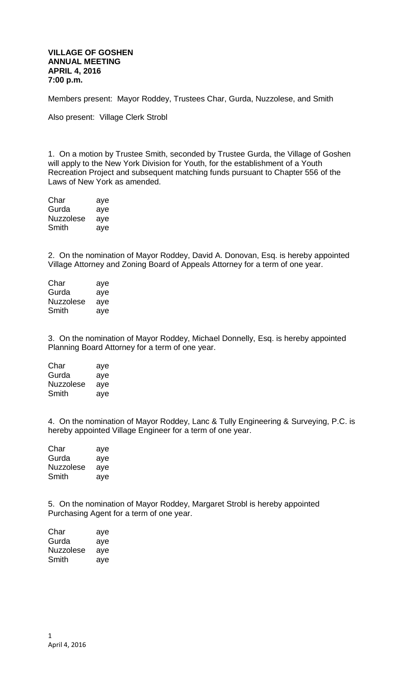## **VILLAGE OF GOSHEN ANNUAL MEETING APRIL 4, 2016 7:00 p.m.**

Members present: Mayor Roddey, Trustees Char, Gurda, Nuzzolese, and Smith

Also present: Village Clerk Strobl

1. On a motion by Trustee Smith, seconded by Trustee Gurda, the Village of Goshen will apply to the New York Division for Youth, for the establishment of a Youth Recreation Project and subsequent matching funds pursuant to Chapter 556 of the Laws of New York as amended.

| Char      | aye |
|-----------|-----|
| Gurda     | aye |
| Nuzzolese | aye |
| Smith     | aye |

2. On the nomination of Mayor Roddey, David A. Donovan, Esq. is hereby appointed Village Attorney and Zoning Board of Appeals Attorney for a term of one year.

| Char      | aye |
|-----------|-----|
| Gurda     | aye |
| Nuzzolese | aye |
| Smith     | ave |

3. On the nomination of Mayor Roddey, Michael Donnelly, Esq. is hereby appointed Planning Board Attorney for a term of one year.

Char aye Gurda aye Nuzzolese aye Smith aye

4. On the nomination of Mayor Roddey, Lanc & Tully Engineering & Surveying, P.C. is hereby appointed Village Engineer for a term of one year.

| Char      | aye |
|-----------|-----|
| Gurda     | aye |
| Nuzzolese | aye |
| Smith     | aye |

5. On the nomination of Mayor Roddey, Margaret Strobl is hereby appointed Purchasing Agent for a term of one year.

| Char      | aye |
|-----------|-----|
| Gurda     | aye |
| Nuzzolese | aye |
| Smith     | aye |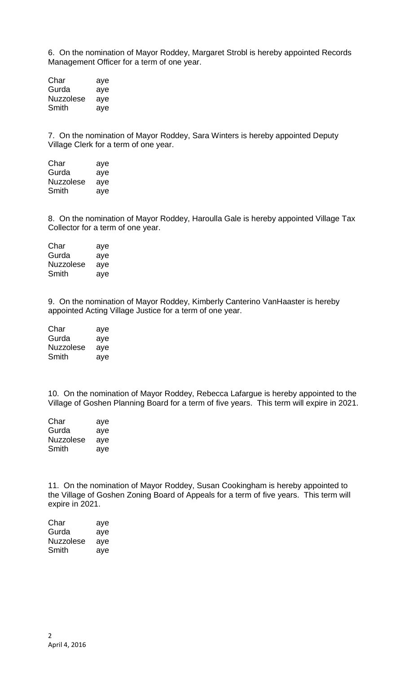6. On the nomination of Mayor Roddey, Margaret Strobl is hereby appointed Records Management Officer for a term of one year.

| Char      | aye |
|-----------|-----|
| Gurda     | aye |
| Nuzzolese | aye |
| Smith     | aye |

7. On the nomination of Mayor Roddey, Sara Winters is hereby appointed Deputy Village Clerk for a term of one year.

| Char             | aye |
|------------------|-----|
| Gurda            | aye |
| <b>Nuzzolese</b> | aye |
| Smith            | aye |

8. On the nomination of Mayor Roddey, Haroulla Gale is hereby appointed Village Tax Collector for a term of one year.

| Char             | aye |
|------------------|-----|
| Gurda            | aye |
| <b>Nuzzolese</b> | aye |
| Smith            | ave |

9. On the nomination of Mayor Roddey, Kimberly Canterino VanHaaster is hereby appointed Acting Village Justice for a term of one year.

| Char             | aye |
|------------------|-----|
| Gurda            | aye |
| <b>Nuzzolese</b> | aye |
| Smith            | aye |

10. On the nomination of Mayor Roddey, Rebecca Lafargue is hereby appointed to the Village of Goshen Planning Board for a term of five years. This term will expire in 2021.

| Char      | aye |
|-----------|-----|
| Gurda     | aye |
| Nuzzolese | aye |
| Smith     | aye |

11. On the nomination of Mayor Roddey, Susan Cookingham is hereby appointed to the Village of Goshen Zoning Board of Appeals for a term of five years. This term will expire in 2021.

| Char      | aye |
|-----------|-----|
| Gurda     | aye |
| Nuzzolese | aye |
| Smith     | ave |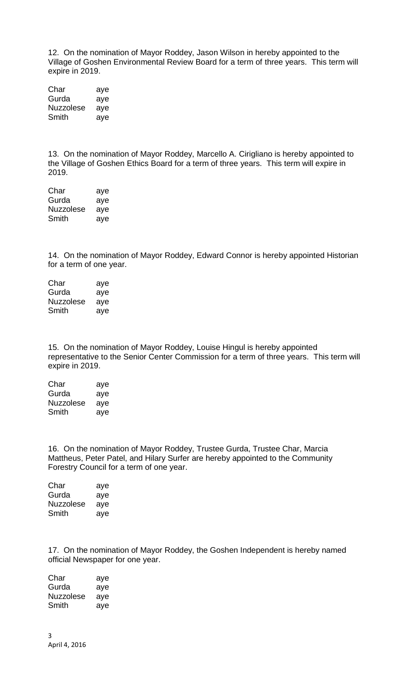12. On the nomination of Mayor Roddey, Jason Wilson in hereby appointed to the Village of Goshen Environmental Review Board for a term of three years. This term will expire in 2019.

| Char             | aye |
|------------------|-----|
| Gurda            | aye |
| <b>Nuzzolese</b> | aye |
| Smith            | aye |

13. On the nomination of Mayor Roddey, Marcello A. Cirigliano is hereby appointed to the Village of Goshen Ethics Board for a term of three years. This term will expire in 2019.

Char aye Gurda aye Nuzzolese aye Smith aye

14. On the nomination of Mayor Roddey, Edward Connor is hereby appointed Historian for a term of one year.

| Char      | aye |
|-----------|-----|
| Gurda     | aye |
| Nuzzolese | aye |
| Smith     | aye |

15. On the nomination of Mayor Roddey, Louise Hingul is hereby appointed representative to the Senior Center Commission for a term of three years. This term will expire in 2019.

| Char             | aye |
|------------------|-----|
| Gurda            | aye |
| <b>Nuzzolese</b> | aye |
| Smith            | aye |

16. On the nomination of Mayor Roddey, Trustee Gurda, Trustee Char, Marcia Mattheus, Peter Patel, and Hilary Surfer are hereby appointed to the Community Forestry Council for a term of one year.

| aye |
|-----|
| aye |
| aye |
| aye |
|     |

17. On the nomination of Mayor Roddey, the Goshen Independent is hereby named official Newspaper for one year.

Char aye Gurda aye Nuzzolese aye Smith aye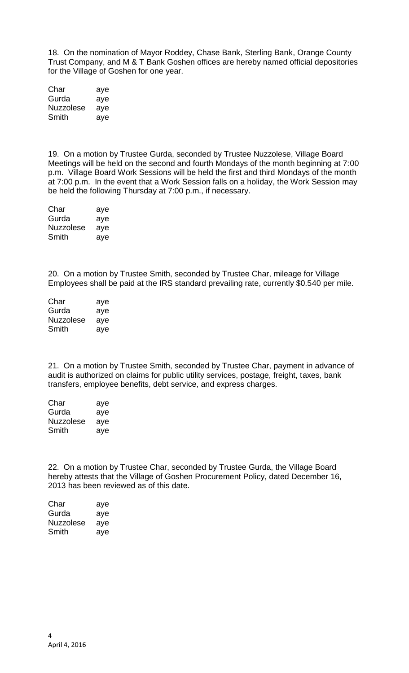18. On the nomination of Mayor Roddey, Chase Bank, Sterling Bank, Orange County Trust Company, and M & T Bank Goshen offices are hereby named official depositories for the Village of Goshen for one year.

| Char      | aye |
|-----------|-----|
| Gurda     | aye |
| Nuzzolese | aye |
| Smith     | aye |

19. On a motion by Trustee Gurda, seconded by Trustee Nuzzolese, Village Board Meetings will be held on the second and fourth Mondays of the month beginning at 7:00 p.m. Village Board Work Sessions will be held the first and third Mondays of the month at 7:00 p.m. In the event that a Work Session falls on a holiday, the Work Session may be held the following Thursday at 7:00 p.m., if necessary.

| Char      | aye |
|-----------|-----|
| Gurda     | aye |
| Nuzzolese | aye |
| Smith     | aye |

20. On a motion by Trustee Smith, seconded by Trustee Char, mileage for Village Employees shall be paid at the IRS standard prevailing rate, currently \$0.540 per mile.

| Char      | aye |
|-----------|-----|
| Gurda     | aye |
| Nuzzolese | aye |
| Smith     | aye |

21. On a motion by Trustee Smith, seconded by Trustee Char, payment in advance of audit is authorized on claims for public utility services, postage, freight, taxes, bank transfers, employee benefits, debt service, and express charges.

| Char      | aye |
|-----------|-----|
| Gurda     | aye |
| Nuzzolese | aye |
| Smith     | aye |

22. On a motion by Trustee Char, seconded by Trustee Gurda, the Village Board hereby attests that the Village of Goshen Procurement Policy, dated December 16, 2013 has been reviewed as of this date.

| aye |
|-----|
| aye |
| aye |
| aye |
|     |